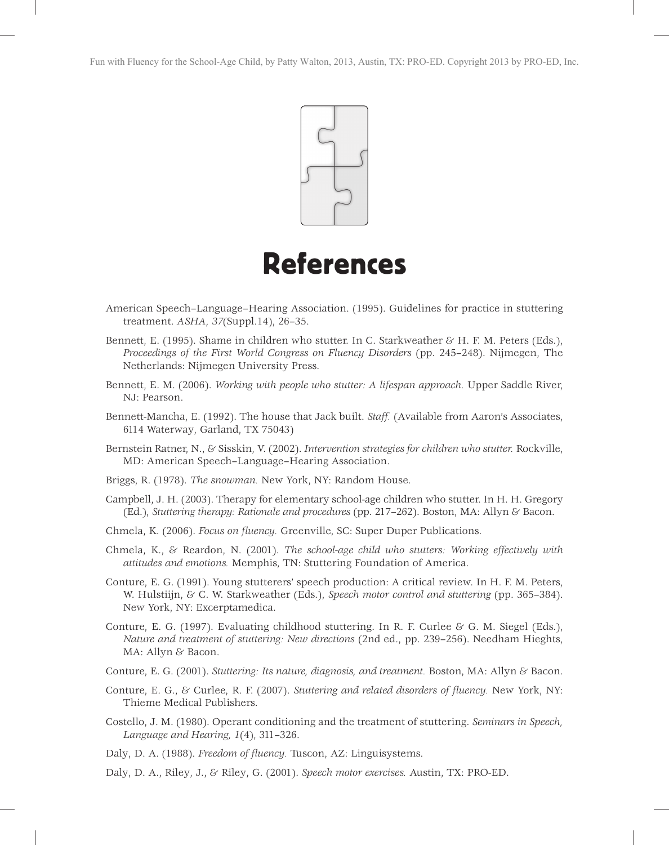

## References

- American Speech–Language–Hearing Association. (1995). Guidelines for practice in stuttering treatment. *ASHA, 37*(Suppl.14), 26–35.
- Bennett, E. (1995). Shame in children who stutter. In C. Starkweather  $\mathcal{E}$  H. F. M. Peters (Eds.), *Proceedings of the First World Congress on Fluency Disorders* (pp. 245–248). Nijmegen, The Netherlands: Nijmegen University Press.
- Bennett, E. M. (2006). *Working with people who stutter: A lifespan approach.* Upper Saddle River, NJ: Pearson.
- Bennett-Mancha, E. (1992). The house that Jack built. *Staff.* (Available from Aaron's Associates, 6114 Waterway, Garland, TX 75043)
- Bernstein Ratner, N., & Sisskin, V. (2002). *Intervention strategies for children who stutter.* Rockville, MD: American Speech–Language–Hearing Association.
- Briggs, R. (1978). *The snowman.* New York, NY: Random House.
- Campbell, J. H. (2003). Therapy for elementary school-age children who stutter. In H. H. Gregory (Ed.), *Stuttering therapy: Rationale and procedures* (pp. 217–262). Boston, MA: Allyn & Bacon.
- Chmela, K. (2006). *Focus on fluency.* Greenville, SC: Super Duper Publications.
- Chmela, K., & Reardon, N. (2001). *The school-age child who stutters: Working effectively with attitudes and emotions.* Memphis, TN: Stuttering Foundation of America.
- Conture, E. G. (1991). Young stutterers' speech production: A critical review. In H. F. M. Peters, W. Hulstiijn, & C. W. Starkweather (Eds.), *Speech motor control and stuttering* (pp. 365–384). New York, NY: Excerptamedica.
- Conture, E. G. (1997). Evaluating childhood stuttering. In R. F. Curlee & G. M. Siegel (Eds.), *Nature and treatment of stuttering: New directions* (2nd ed., pp. 239–256). Needham Hieghts, MA: Allyn & Bacon.
- Conture, E. G. (2001). *Stuttering: Its nature, diagnosis, and treatment.* Boston, MA: Allyn & Bacon.
- Conture, E. G., & Curlee, R. F. (2007). *Stuttering and related disorders of fluency*. New York, NY: Thieme Medical Publishers.
- Costello, J. M. (1980). Operant conditioning and the treatment of stuttering. *Seminars in Speech, Language and Hearing, 1*(4), 311–326.
- Daly, D. A. (1988). *Freedom of fluency*. Tuscon, AZ: Linguisystems.
- Daly, D. A., Riley, J., & Riley, G. (2001). *Speech motor exercises.* Austin, TX: PRO-ED.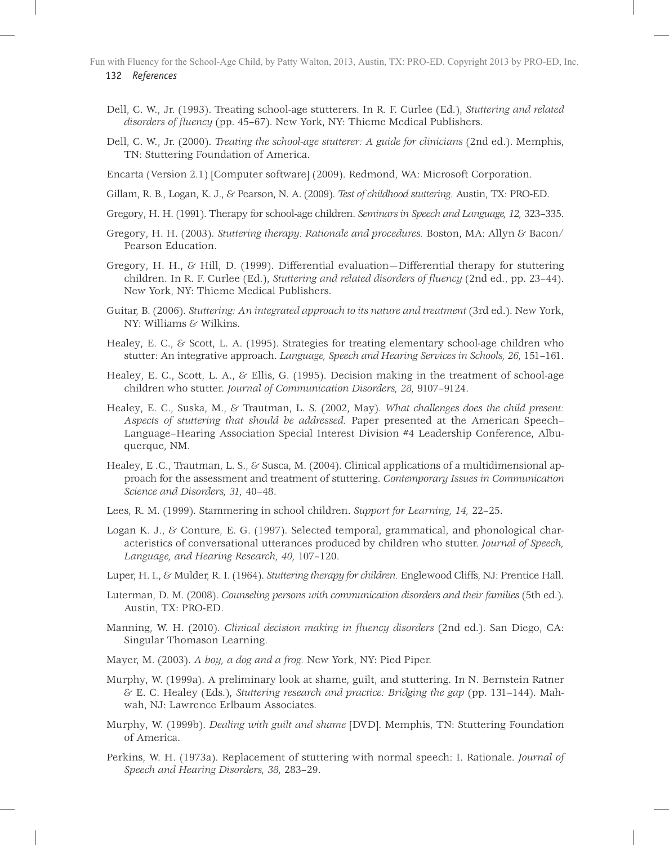- 132 *References* Fun with Fluency for the School-Age Child, by Patty Walton, 2013, Austin, TX: PRO-ED. Copyright 2013 by PRO-ED, Inc.
	- Dell, C. W., Jr. (1993). Treating school-age stutterers. In R. F. Curlee (Ed.), *Stuttering and related disorders of fluency* (pp. 45–67). New York, NY: Thieme Medical Publishers.
	- Dell, C. W., Jr. (2000). *Treating the school-age stutterer: A guide for clinicians* (2nd ed.). Memphis, TN: Stuttering Foundation of America.
	- Encarta (Version 2.1) [Computer software] (2009). Redmond, WA: Microsoft Corporation.
	- Gillam, R. B., Logan, K. J., & Pearson, N. A. (2009). *Test of childhood stuttering.* Austin, TX: PRO-ED.
	- Gregory, H. H. (1991). Therapy for school-age children. *Seminars in Speech and Language, 12,* 323–335.
	- Gregory, H. H. (2003). *Stuttering therapy: Rationale and procedures.* Boston, MA: Allyn & Bacon/ Pearson Education.
	- Gregory, H. H., & Hill, D. (1999). Differential evaluation—Differential therapy for stuttering children. In R. F. Curlee (Ed.), *Stuttering and related disorders of fluency* (2nd ed., pp. 23–44). New York, NY: Thieme Medical Publishers.
	- Guitar, B. (2006). *Stuttering: An integrated approach to its nature and treatment* (3rd ed.). New York, NY: Williams & Wilkins.
	- Healey, E. C., & Scott, L. A. (1995). Strategies for treating elementary school-age children who stutter: An integrative approach. *Language, Speech and Hearing Services in Schools, 26*, 151–161.
	- Healey, E. C., Scott, L. A., & Ellis, G. (1995). Decision making in the treatment of school-age children who stutter. *Journal of Communication Disorders, 28,* 9107–9124.
	- Healey, E. C., Suska, M., & Trautman, L. S. (2002, May). *What challenges does the child present: Aspects of stuttering that should be addressed.* Paper presented at the American Speech– Language–Hearing Association Special Interest Division #4 Leadership Conference, Albuquerque, NM.
	- Healey, E .C., Trautman, L. S., & Susca, M. (2004). Clinical applications of a multidimensional approach for the assessment and treatment of stuttering. *Contemporary Issues in Communication Science and Disorders, 31,* 40–48.
	- Lees, R. M. (1999). Stammering in school children. *Support for Learning, 14,* 22–25.
	- Logan K. J., & Conture, E. G. (1997). Selected temporal, grammatical, and phonological characteristics of conversational utterances produced by children who stutter. *Journal of Speech, Language, and Hearing Research, 40,* 107–120.
	- Luper, H. I., & Mulder, R. I. (1964). *Stuttering therapy for children.* Englewood Cliffs, NJ: Prentice Hall.
	- Luterman, D. M. (2008). *Counseling persons with communication disorders and their families* (5th ed.). Austin, TX: PRO-ED.
	- Manning, W. H. (2010). *Clinical decision making in fluency disorders* (2nd ed.). San Diego, CA: Singular Thomason Learning.
	- Mayer, M. (2003). *A boy, a dog and a frog.* New York, NY: Pied Piper.
	- Murphy, W. (1999a). A preliminary look at shame, guilt, and stuttering. In N. Bernstein Ratner & E. C. Healey (Eds.), *Stuttering research and practice: Bridging the gap* (pp. 131–144). Mahwah, NJ: Lawrence Erlbaum Associates.
	- Murphy, W. (1999b). *Dealing with guilt and shame* [DVD]. Memphis, TN: Stuttering Foundation of America.
	- Perkins, W. H. (1973a). Replacement of stuttering with normal speech: I. Rationale. *Journal of Speech and Hearing Disorders, 38,* 283–29.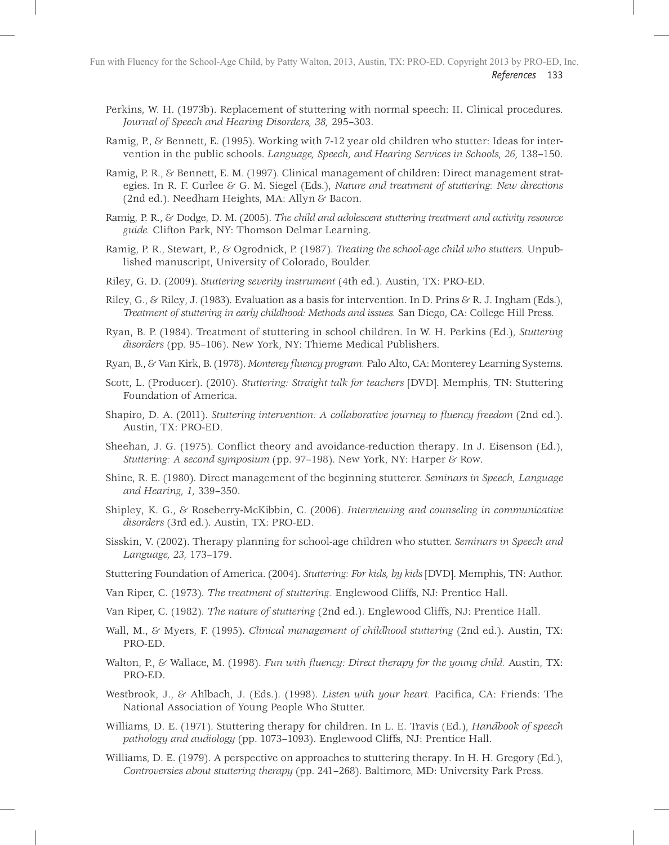- Perkins, W. H. (1973b). Replacement of stuttering with normal speech: II. Clinical procedures. *Journal of Speech and Hearing Disorders, 38,* 295–303.
- Ramig, P., & Bennett, E. (1995). Working with 7-12 year old children who stutter: Ideas for intervention in the public schools. *Language, Speech, and Hearing Services in Schools, 26,* 138–150.
- Ramig, P. R., & Bennett, E. M. (1997). Clinical management of children: Direct management strategies. In R. F. Curlee & G. M. Siegel (Eds.), *Nature and treatment of stuttering: New directions* (2nd ed.). Needham Heights, MA: Allyn & Bacon.
- Ramig, P. R., & Dodge, D. M. (2005). *The child and adolescent stuttering treatment and activity resource guide.* Clifton Park, NY: Thomson Delmar Learning.
- Ramig, P. R., Stewart, P., & Ogrodnick, P. (1987). *Treating the school-age child who stutters.* Unpublished manuscript, University of Colorado, Boulder.
- Riley, G. D. (2009). *Stuttering severity instrument* (4th ed.). Austin, TX: PRO-ED.
- Riley, G., & Riley, J. (1983). Evaluation as a basis for intervention. In D. Prins & R. J. Ingham (Eds.), *Treatment of stuttering in early childhood: Methods and issues.* San Diego, CA: College Hill Press.
- Ryan, B. P. (1984). Treatment of stuttering in school children. In W. H. Perkins (Ed.), *Stuttering disorders* (pp. 95–106). New York, NY: Thieme Medical Publishers.
- Ryan, B., & Van Kirk, B. (1978). *Monterey fluency program*. Palo Alto, CA: Monterey Learning Systems.
- Scott, L. (Producer). (2010). *Stuttering: Straight talk for teachers* [DVD]. Memphis, TN: Stuttering Foundation of America.
- Shapiro, D. A. (2011). *Stuttering intervention: A collaborative journey to fluency freedom* (2nd ed.). Austin, TX: PRO-ED.
- Sheehan, J. G. (1975). Conflict theory and avoidance-reduction therapy. In J. Eisenson (Ed.), *Stuttering: A second symposium* (pp. 97–198). New York, NY: Harper & Row.
- Shine, R. E. (1980). Direct management of the beginning stutterer. *Seminars in Speech, Language and Hearing, 1,* 339–350.
- Shipley, K. G., & Roseberry-McKibbin, C. (2006). *Interviewing and counseling in communicative disorders* (3rd ed.). Austin, TX: PRO-ED.
- Sisskin, V. (2002). Therapy planning for school-age children who stutter. *Seminars in Speech and Language, 23,* 173–179.
- Stuttering Foundation of America. (2004). *Stuttering: For kids, by kids* [DVD]. Memphis, TN: Author.
- Van Riper, C. (1973). *The treatment of stuttering.* Englewood Cliffs, NJ: Prentice Hall.
- Van Riper, C. (1982). *The nature of stuttering* (2nd ed.). Englewood Cliffs, NJ: Prentice Hall.
- Wall, M., & Myers, F. (1995). *Clinical management of childhood stuttering* (2nd ed.). Austin, TX: PRO-ED.
- Walton, P., & Wallace, M. (1998). *Fun with fluency: Direct therapy for the young child.* Austin, TX: PRO-ED.
- Westbrook, J., & Ahlbach, J. (Eds.). (1998). *Listen with your heart*. Pacifica, CA: Friends: The National Association of Young People Who Stutter.
- Williams, D. E. (1971). Stuttering therapy for children. In L. E. Travis (Ed.), *Handbook of speech pathology and audiology* (pp. 1073–1093). Englewood Cliffs, NJ: Prentice Hall.
- Williams, D. E. (1979). A perspective on approaches to stuttering therapy. In H. H. Gregory (Ed.), *Controversies about stuttering therapy* (pp. 241–268). Baltimore, MD: University Park Press.